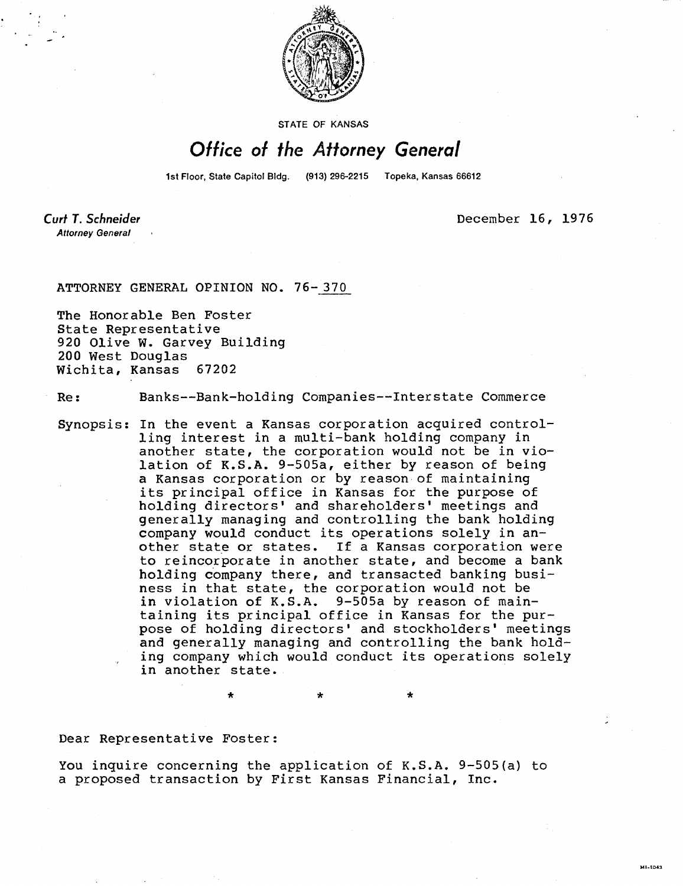

STATE OF KANSAS

## Office of the Attorney General

1st Floor, State Capitol Bldg. (913) 296-2215 Topeka, Kansas 66612

Curt T. Schneider **Attorney General** 

December 16, 1976

MI-1043

## ATTORNEY GENERAL OPINION NO. 76- 370

The Honorable Ben Foster State Representative 920 Olive W. Garvey Building 200 West Douglas Wichita, Kansas 67202

Re: Banks--Bank-holding Companies--Interstate Commerce

Synopsis: In the event a Kansas corporation acquired controlling interest in a multi-bank holding company in another state, the corporation would not be in violation of K.S.A. 9-505a, either by reason of being a Kansas corporation or by reason of maintaining its principal office in Kansas for the purpose of holding directors' and shareholders' meetings and generally managing and controlling the bank holding company would conduct its operations solely in another state or states. If a Kansas corporation were to reincorporate in another state, and become a bank holding company there, and transacted banking business in that state, the corporation would not be in violation of K.S.A. 9-505a by reason of maintaining its principal office in Kansas for the purpose of holding directors' and stockholders' meetings and generally managing and controlling the bank holding company which would conduct its operations solely in another state.

Dear Representative Foster:

You inquire concerning the application of K.S.A. 9-505(a) to a proposed transaction by First Kansas Financial, Inc.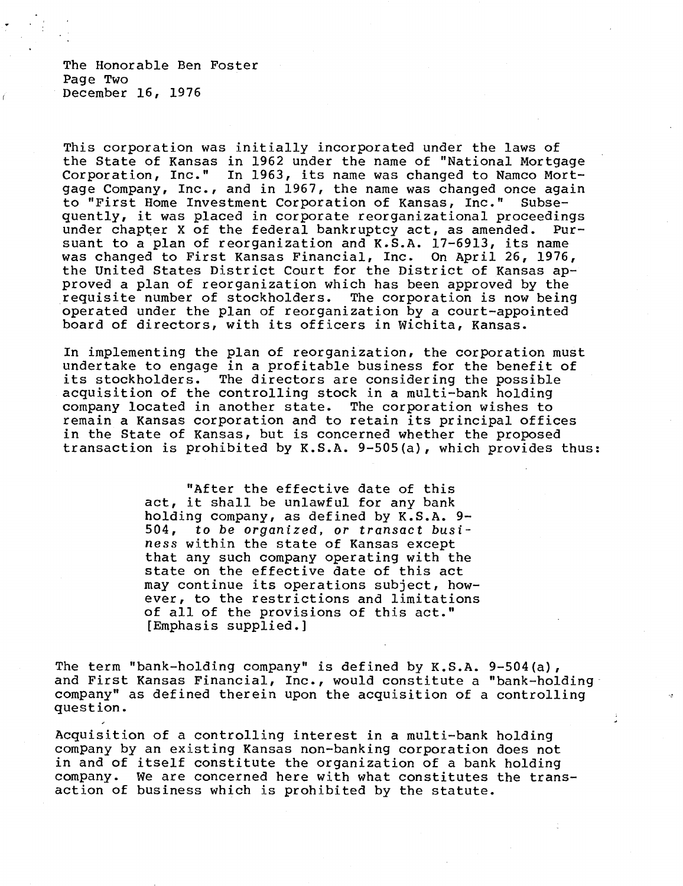The Honorable Ben Foster Page Two December 16, 1976

This corporation was initially incorporated under the laws of the State of Kansas in 1962 under the name of "National Mortgage Corporation, Inc." In 1963, its name was changed to Namco Mortgage Company, Inc., and in 1967, the name was changed once again to "First Home Investment Corporation of Kansas, Inc." Subsequently, it was placed in corporate reorganizational proceedings under chapter X of the federal bankruptcy act, as amended. Pursuant to a plan of reorganization and K.S.A. 17-6913, its name was changed to First Kansas Financial, Inc. On April 26, 1976, the United States District Court for the District of Kansas approved a plan of reorganization which has been approved by the requisite number of stockholders. The corporation is now being operated under the plan of reorganization by a court-appointed board of directors, with its officers in Wichita, Kansas.

In implementing the plan of reorganization, the corporation must undertake to engage in a profitable business for the benefit of its stockholders. The directors are considering the possible acquisition of the controlling stock in a multi-bank holding company located in another state. The corporation wishes to remain a Kansas corporation and to retain its principal offices in the State of Kansas, but is concerned whether the proposed transaction is prohibited by K.S.A. 9-505(a), which provides thus:

> "After the effective date of this act, it shall be unlawful for any bank holding company, as defined by K.S.A. 9- 504, to be organized, or transact business within the state of Kansas except that any such company operating with the state on the effective date of this act may continue its operations subject, however, to the restrictions and limitations of all of the provisions of this act." [Emphasis supplied.]

The term "bank-holding company" is defined by K.S.A. 9-504(a), and First Kansas Financial, Inc., would constitute a "bank-holding company" as defined therein upon the acquisition of a controlling question.

Acquisition of a controlling interest in a multi-bank holding company by an existing Kansas non-banking corporation does not in and of itself constitute the organization of a bank holding company. We are concerned here with what constitutes the transaction of business which is prohibited by the statute.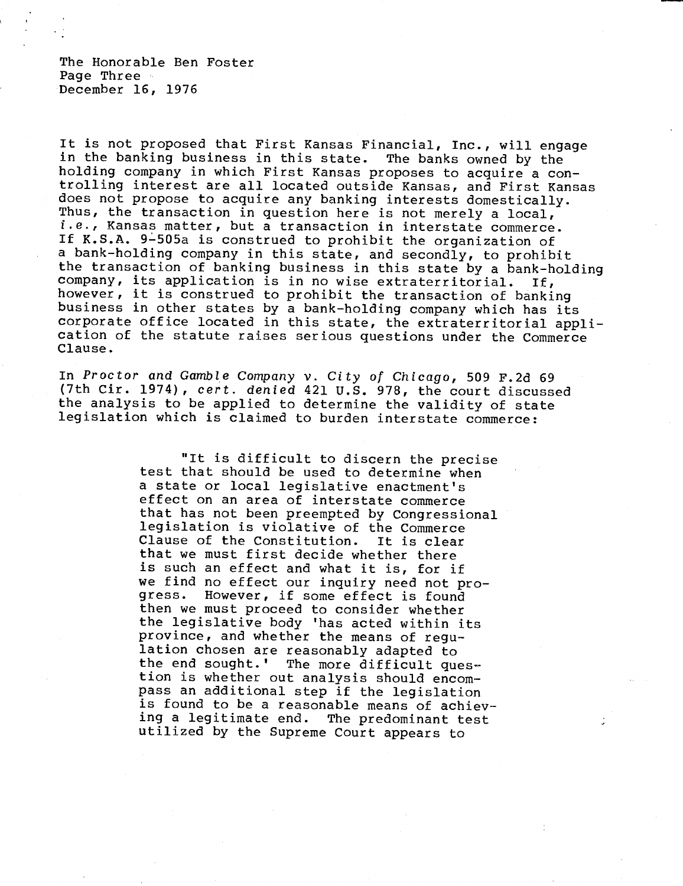The Honorable Ben Foster Page Three December 16, 1976

It is not proposed that First Kansas Financial, Inc., will engage in the banking business in this state. The banks owned by the holding company in which First Kansas proposes to acquire a controlling interest are all located outside Kansas, and First Kansas does not propose to acquire any banking interests domestically. Thus, the transaction in question here is not merely a local, i.e., Kansas matter, but a transaction in interstate commerce. If K.S.A. 9-505a is construed to prohibit the organization of a bank-holding company in this state, and secondly, to prohibit the transaction of banking business in this state by a bank-holding company, its application is in no wise extraterritorial. If, however, it is construed to prohibit the transaction of banking business in other states by a bank-holding company which has its corporate office located in this state, the extraterritorial application of the statute raises serious questions under the Commerce Clause.

In Proctor and Gamble Company v. City of Chicago, 509 F.2d 69 (7th Cir. 1974), cert. denied 421 U.S. 978, the court discussed the analysis to be applied to determine the validity of state legislation which is claimed to burden interstate commerce:

> "It is difficult to discern the precise test that should be used to determine when a state or local legislative enactment's effect on an area of interstate commerce that has not been preempted by Congressional legislation is violative of the Commerce Clause of the Constitution. It is clear that we must first decide whether there is such an effect and what it is, for if we find no effect our inquiry need not pro-<br>gress. However, if some effect is found However, if some effect is found then we must proceed to consider whether the legislative body 'has acted within its province, and whether the means of regulation chosen are reasonably adapted to the end sought.' The more difficult question is whether out analysis should encompass an additional step if the legislation is found to be a reasonable means of achieving a legitimate end. The predominant test utilized by the Supreme Court appears to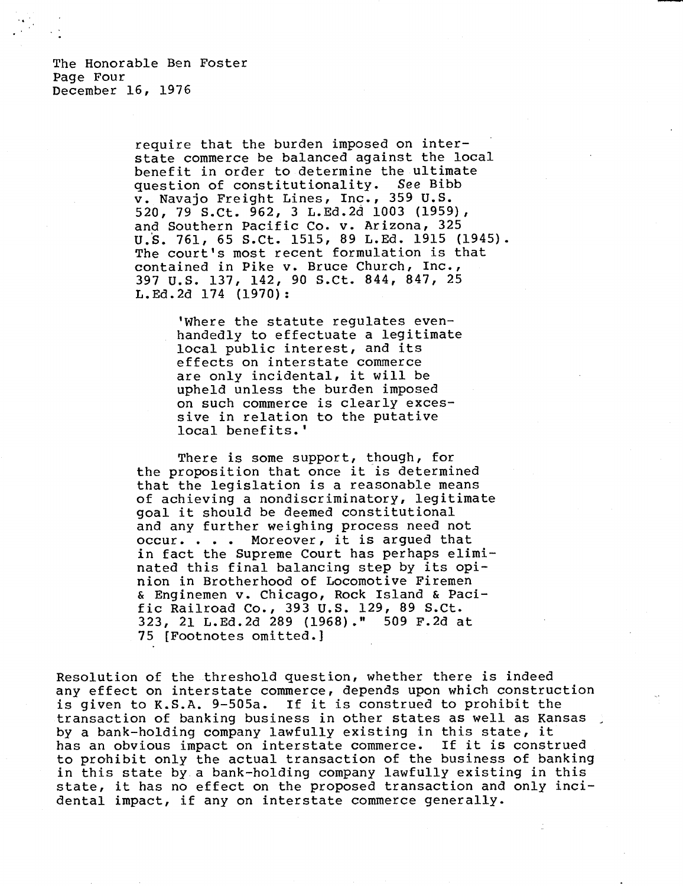require that the burden imposed on interstate commerce be balanced against the local benefit in order to determine the ultimate<br>question of constitutionality. See Bibb question of constitutionality. v. Navajo Freight Lines, Inc., 359 U.S. 520, 79 S.Ct. 962, 3 L.Ed.2d 1003 (1959), and Southern Pacific Co. v. Arizona, 325 U.S. 761, 65 S.Ct. 1515, 89 L.Ed. 1915 (1945). The court's most recent formulation is that contained in Pike v. Bruce Church, Inc., 397 U.S. 137, 142, 90 S.Ct. 844, 847, 25 L.Ed.2d 174 (1970) :

> 'Where the statute regulates evenhandedly to effectuate a legitimate local public interest, and its effects on interstate commerce are only incidental, it will be upheld unless the burden imposed on such commerce is clearly excessive in relation to the putative local benefits.'

There is some support, though, for the proposition that once it is determined that the legislation is a reasonable means of achieving a nondiscriminatory, legitimate goal it should be deemed constitutional and any further weighing process need not occur. . . . Moreover, it is argued that in fact the Supreme Court has perhaps eliminated this final balancing step by its opinion in Brotherhood of Locomotive Firemen & Enginemen v. Chicago, Rock Island & Pacific Railroad Co., 393 U.S. 129, 89 S.Ct. 323, 21 L.Ed.2d 289 (1968)." 509 F.2d at 75 [Footnotes omitted.]

Resolution of the threshold question, whether there is indeed any effect on interstate commerce, depends upon which construction is given to K.S.A. 9-505a. If it is construed to prohibit the transaction of banking business in other states as well as Kansas by a bank-holding company lawfully existing in this state, it has an obvious impact on interstate commerce. If it is construed to prohibit only the actual transaction of the business of banking in this state by a bank-holding company lawfully existing in this state, it has no effect on the proposed transaction and only incidental impact, if any on interstate commerce generally.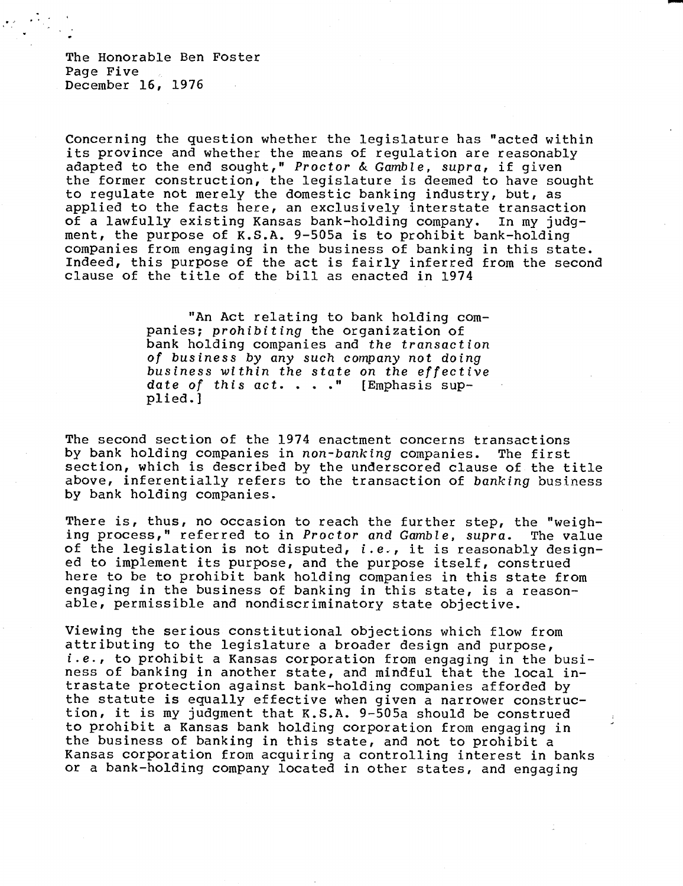The Honorable Ben Foster Page Five December 16, 1976

Concerning the question whether the legislature has "acted within its province and whether the means of regulation are reasonably adapted to the end sought," Proctor & Gamble, supra, if given the former construction, the legislature is deemed to have sought to regulate not merely the domestic banking industry, but, as applied to the facts here, an exclusively interstate transaction of a lawfully existing Kansas bank-holding company. In my judgment, the purpose of K.S.A. 9-505a is to prohibit bank-holding companies from engaging in the business of banking in this state. Indeed, this purpose of the act is fairly inferred from the second clause of the title of the bill as enacted in 1974

> "An Act relating to bank holding companies; prohibiting the organization of bank holding companies and the transaction of business by any such company not doing business within the state on the effective date of this  $act. . . . "$  [Emphasis supplied.]

The second section of the 1974 enactment concerns transactions<br>by bank holding companies in non-banking companies. The first by bank holding companies in non-banking companies. section, which is described by the underscored clause of the title above, inferentially refers to the transaction of banking business by bank holding companies.

There is, thus, no occasion to reach the further step, the "weighing process," referred to in Proctor and Gamble, supra. The value of the legislation is not disputed, i.e., it is reasonably designed to implement its purpose, and the purpose itself, construed here to be to prohibit bank holding companies in this state from engaging in the business of banking in this state, is a reasonable, permissible and nondiscriminatory state objective.

Viewing the serious constitutional objections which flow from attributing to the legislature a broader design and purpose, i.e., to prohibit a Kansas corporation from engaging in the business of banking in another state, and mindful that the local intrastate protection against bank-holding companies afforded by the statute is equally effective when given a narrower construction, it is my judgment that K.S.A. 9-505a should be construed to prohibit a Kansas bank holding corporation from engaging in the business of banking in this state, and not to prohibit a Kansas corporation from acquiring a controlling interest in banks or a bank-holding company located in other states, and engaging